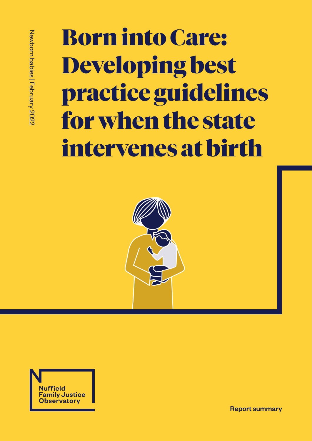# Born into Care: Developing best practice guidelines for when the state intervenes at birth





Report summary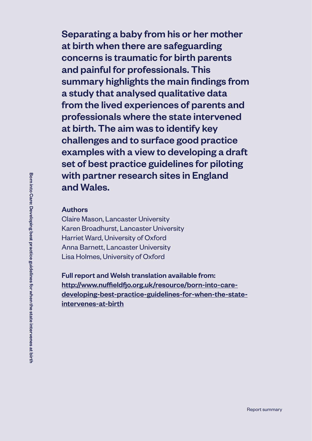Separating a baby from his or her mother at birth when there are safeguarding concerns is traumatic for birth parents and painful for professionals. This summary highlights the main findings from a study that analysed qualitative data from the lived experiences of parents and professionals where the state intervened at birth. The aim was to identify key challenges and to surface good practice examples with a view to developing a draft set of best practice guidelines for piloting with partner research sites in England and Wales.

#### Authors

Claire Mason, Lancaster University Karen Broadhurst, Lancaster University Harriet Ward, University of Oxford Anna Barnett, Lancaster University Lisa Holmes, University of Oxford

Full report and Welsh translation available from: [http://www.nuffieldfjo.org.uk/resource/born-into-care](http://www.nuffieldfjo.org.uk/resource/born-into-care-developing-best-practice-guidelines-for-when-t)[developing-best-practice-guidelines-for-when-the-state](http://www.nuffieldfjo.org.uk/resource/born-into-care-developing-best-practice-guidelines-for-when-t)[intervenes-at-birth](http://www.nuffieldfjo.org.uk/resource/born-into-care-developing-best-practice-guidelines-for-when-t)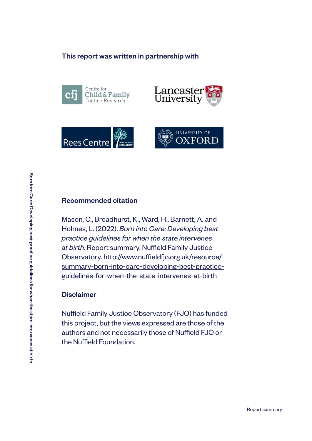#### This report was written in partnership with







#### Recommended citation

Mason, C., Broadhurst, K., Ward, H., Barnett, A. and Holmes, L. (2022). *Born into Care: Developing best practice guidelines for when the state intervenes at birth*. Report summary. Nuffield Family Justice Observatory. [http://www.nuffieldfjo.org.uk/resource/](http://www.nuffieldfjo.org.uk/resource/summary-born-into-care-developing-best-practice-guidelines-fo) [summary-born-into-care-developing-best-practice](http://www.nuffieldfjo.org.uk/resource/summary-born-into-care-developing-best-practice-guidelines-fo)[guidelines-for-when-the-state-intervenes-at-birth](http://www.nuffieldfjo.org.uk/resource/summary-born-into-care-developing-best-practice-guidelines-fo)

#### Disclaimer

Nuffield Family Justice Observatory (FJO) has funded this project, but the views expressed are those of the authors and not necessarily those of Nuffield FJO or the Nuffield Foundation.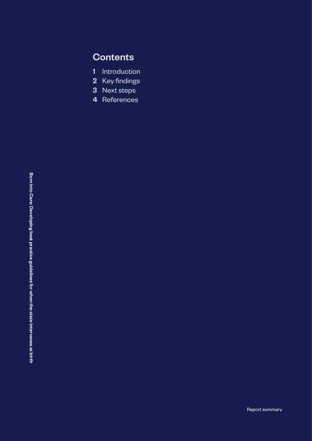## **Contents**

- 1 Introduction
- 2 Key findings
- 3 Next steps
- 4 References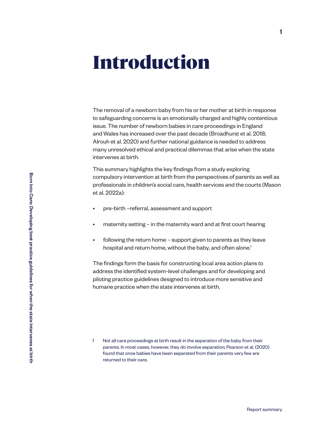## Introduction

The removal of a newborn baby from his or her mother at birth in response to safeguarding concerns is an emotionally charged and highly contentious issue. The number of newborn babies in care proceedings in England and Wales has increased over the past decade (Broadhurst et al. 2018; Alrouh et al. 2020) and further national guidance is needed to address many unresolved ethical and practical dilemmas that arise when the state intervenes at birth.

This summary highlights the key findings from a study exploring compulsory intervention at birth from the perspectives of parents as well as professionals in children's social care, health services and the courts (Mason et al. 2022a):

- pre-birth –referral, assessment and support
- maternity setting in the maternity ward and at first court hearing
- following the return home support given to parents as they leave hospital and return home, without the baby, and often alone.<sup>1</sup>

The findings form the basis for constructing local area action plans to address the identified system-level challenges and for developing and piloting practice guidelines designed to introduce more sensitive and humane practice when the state intervenes at birth.

<sup>1</sup> Not all care proceedings at birth result in the separation of the baby from their parents. In most cases, however, they do involve separation; Pearson et al. (2020) found that once babies have been separated from their parents very few are returned to their care.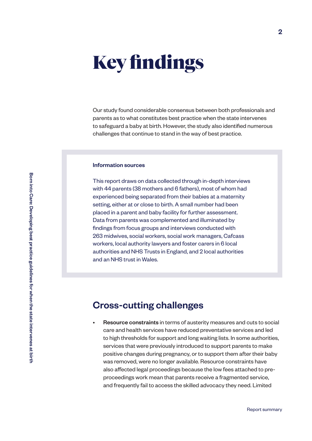## Key findings

Our study found considerable consensus between both professionals and parents as to what constitutes best practice when the state intervenes to safeguard a baby at birth. However, the study also identified numerous challenges that continue to stand in the way of best practice.

#### Information sources

This report draws on data collected through in-depth interviews with 44 parents (38 mothers and 6 fathers), most of whom had experienced being separated from their babies at a maternity setting, either at or close to birth. A small number had been placed in a parent and baby facility for further assessment. Data from parents was complemented and illuminated by findings from focus groups and interviews conducted with 263 midwives, social workers, social work managers, Cafcass workers, local authority lawyers and foster carers in 6 local authorities and NHS Trusts in England, and 2 local authorities and an NHS trust in Wales.

#### Cross-cutting challenges

Resource constraints in terms of austerity measures and cuts to social care and health services have reduced preventative services and led to high thresholds for support and long waiting lists. In some authorities, services that were previously introduced to support parents to make positive changes during pregnancy, or to support them after their baby was removed, were no longer available. Resource constraints have also affected legal proceedings because the low fees attached to preproceedings work mean that parents receive a fragmented service, and frequently fail to access the skilled advocacy they need. Limited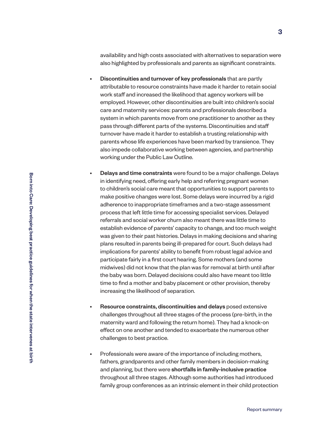availability and high costs associated with alternatives to separation were also highlighted by professionals and parents as significant constraints.

- Discontinuities and turnover of key professionals that are partly attributable to resource constraints have made it harder to retain social work staff and increased the likelihood that agency workers will be employed. However, other discontinuities are built into children's social care and maternity services: parents and professionals described a system in which parents move from one practitioner to another as they pass through different parts of the systems. Discontinuities and staff turnover have made it harder to establish a trusting relationship with parents whose life experiences have been marked by transience. They also impede collaborative working between agencies, and partnership working under the Public Law Outline.
- Delays and time constraints were found to be a major challenge. Delays in identifying need, offering early help and referring pregnant women to children's social care meant that opportunities to support parents to make positive changes were lost. Some delays were incurred by a rigid adherence to inappropriate timeframes and a two-stage assessment process that left little time for accessing specialist services. Delayed referrals and social worker churn also meant there was little time to establish evidence of parents' capacity to change, and too much weight was given to their past histories. Delays in making decisions and sharing plans resulted in parents being ill-prepared for court. Such delays had implications for parents' ability to benefit from robust legal advice and participate fairly in a first court hearing. Some mothers (and some midwives) did not know that the plan was for removal at birth until after the baby was born. Delayed decisions could also have meant too little time to find a mother and baby placement or other provision, thereby increasing the likelihood of separation.
- Resource constraints, discontinuities and delays posed extensive challenges throughout all three stages of the process (pre-birth, in the maternity ward and following the return home). They had a knock-on effect on one another and tended to exacerbate the numerous other challenges to best practice.
- Professionals were aware of the importance of including mothers, fathers, grandparents and other family members in decision-making and planning, but there were shortfalls in family-inclusive practice throughout all three stages. Although some authorities had introduced family group conferences as an intrinsic element in their child protection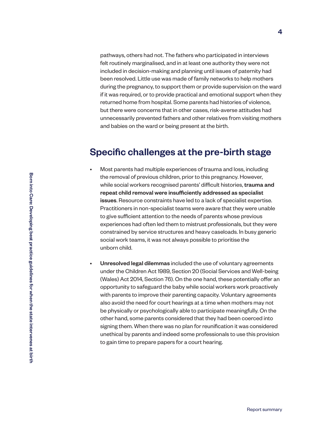pathways, others had not. The fathers who participated in interviews felt routinely marginalised, and in at least one authority they were not included in decision-making and planning until issues of paternity had been resolved. Little use was made of family networks to help mothers during the pregnancy, to support them or provide supervision on the ward if it was required, or to provide practical and emotional support when they returned home from hospital. Some parents had histories of violence, but there were concerns that in other cases, risk-averse attitudes had unnecessarily prevented fathers and other relatives from visiting mothers and babies on the ward or being present at the birth.

#### Specific challenges at the pre-birth stage

- Most parents had multiple experiences of trauma and loss, including the removal of previous children, prior to this pregnancy. However, while social workers recognised parents' difficult histories, trauma and repeat child removal were insufficiently addressed as specialist issues. Resource constraints have led to a lack of specialist expertise. Practitioners in non-specialist teams were aware that they were unable to give sufficient attention to the needs of parents whose previous experiences had often led them to mistrust professionals, but they were constrained by service structures and heavy caseloads. In busy generic social work teams, it was not always possible to prioritise the unborn child.
- Unresolved legal dilemmas included the use of voluntary agreements under the Children Act 1989, Section 20 (Social Services and Well-being (Wales) Act 2014, Section 76). On the one hand, these potentially offer an opportunity to safeguard the baby while social workers work proactively with parents to improve their parenting capacity. Voluntary agreements also avoid the need for court hearings at a time when mothers may not be physically or psychologically able to participate meaningfully. On the other hand, some parents considered that they had been coerced into signing them. When there was no plan for reunification it was considered unethical by parents and indeed some professionals to use this provision to gain time to prepare papers for a court hearing.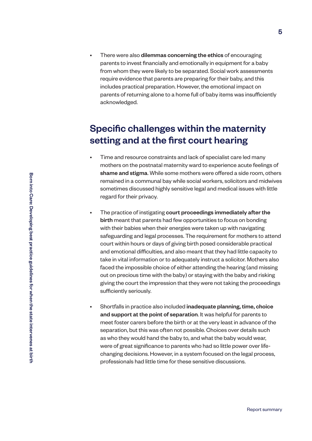There were also **dilemmas concerning the ethics** of encouraging parents to invest financially and emotionally in equipment for a baby from whom they were likely to be separated. Social work assessments require evidence that parents are preparing for their baby, and this includes practical preparation. However, the emotional impact on parents of returning alone to a home full of baby items was insufficiently acknowledged.

## Specific challenges within the maternity setting and at the first court hearing

- Time and resource constraints and lack of specialist care led many mothers on the postnatal maternity ward to experience acute feelings of shame and stigma. While some mothers were offered a side room, others remained in a communal bay while social workers, solicitors and midwives sometimes discussed highly sensitive legal and medical issues with little regard for their privacy.
- The practice of instigating court proceedings immediately after the birth meant that parents had few opportunities to focus on bonding with their babies when their energies were taken up with navigating safeguarding and legal processes. The requirement for mothers to attend court within hours or days of giving birth posed considerable practical and emotional difficulties, and also meant that they had little capacity to take in vital information or to adequately instruct a solicitor. Mothers also faced the impossible choice of either attending the hearing (and missing out on precious time with the baby) or staying with the baby and risking giving the court the impression that they were not taking the proceedings sufficiently seriously.
- Shortfalls in practice also included **inadequate planning, time, choice** and support at the point of separation. It was helpful for parents to meet foster carers before the birth or at the very least in advance of the separation, but this was often not possible. Choices over details such as who they would hand the baby to, and what the baby would wear, were of great significance to parents who had so little power over lifechanging decisions. However, in a system focused on the legal process, professionals had little time for these sensitive discussions.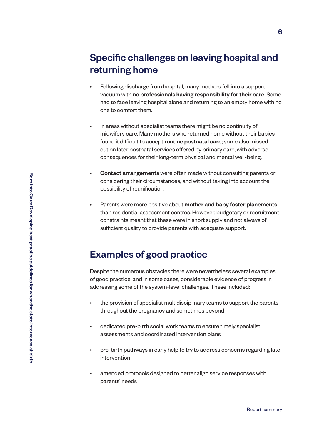## Specific challenges on leaving hospital and returning home

- Following discharge from hospital, many mothers fell into a support vacuum with no professionals having responsibility for their care. Some had to face leaving hospital alone and returning to an empty home with no one to comfort them.
- In areas without specialist teams there might be no continuity of midwifery care. Many mothers who returned home without their babies found it difficult to accept routine postnatal care; some also missed out on later postnatal services offered by primary care, with adverse consequences for their long-term physical and mental well-being.
- Contact arrangements were often made without consulting parents or considering their circumstances, and without taking into account the possibility of reunification.
- Parents were more positive about mother and baby foster placements than residential assessment centres. However, budgetary or recruitment constraints meant that these were in short supply and not always of sufficient quality to provide parents with adequate support.

### Examples of good practice

Despite the numerous obstacles there were nevertheless several examples of good practice, and in some cases, considerable evidence of progress in addressing some of the system-level challenges. These included:

- the provision of specialist multidisciplinary teams to support the parents throughout the pregnancy and sometimes beyond
- dedicated pre-birth social work teams to ensure timely specialist assessments and coordinated intervention plans
- pre-birth pathways in early help to try to address concerns regarding late intervention
- amended protocols designed to better align service responses with parents' needs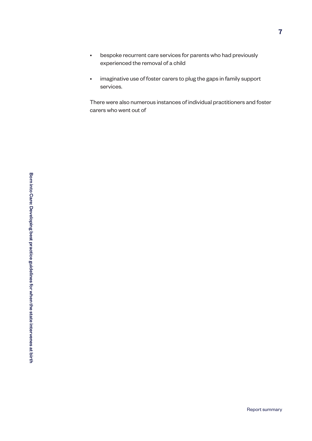- bespoke recurrent care services for parents who had previously experienced the removal of a child
- imaginative use of foster carers to plug the gaps in family support services.

There were also numerous instances of individual practitioners and foster carers who went out of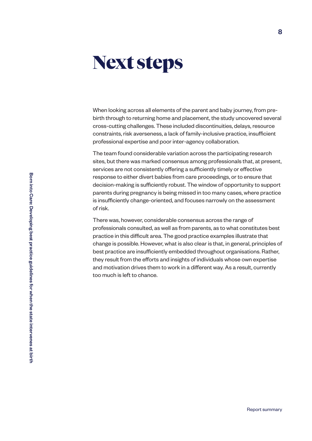## Next steps

When looking across all elements of the parent and baby journey, from prebirth through to returning home and placement, the study uncovered several cross-cutting challenges. These included discontinuities, delays, resource constraints, risk averseness, a lack of family-inclusive practice, insufficient professional expertise and poor inter-agency collaboration.

The team found considerable variation across the participating research sites, but there was marked consensus among professionals that, at present, services are not consistently offering a sufficiently timely or effective response to either divert babies from care proceedings, or to ensure that decision-making is sufficiently robust. The window of opportunity to support parents during pregnancy is being missed in too many cases, where practice is insufficiently change-oriented, and focuses narrowly on the assessment of risk.

There was, however, considerable consensus across the range of professionals consulted, as well as from parents, as to what constitutes best practice in this difficult area. The good practice examples illustrate that change is possible. However, what is also clear is that, in general, principles of best practice are insufficiently embedded throughout organisations. Rather, they result from the efforts and insights of individuals whose own expertise and motivation drives them to work in a different way. As a result, currently too much is left to chance.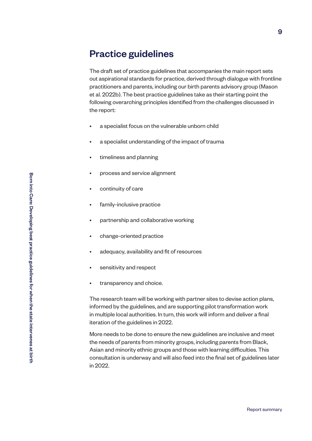#### Practice guidelines

The draft set of practice guidelines that accompanies the main report sets out aspirational standards for practice, derived through dialogue with frontline practitioners and parents, including our birth parents advisory group (Mason et al. 2022b). The best practice guidelines take as their starting point the following overarching principles identified from the challenges discussed in the report:

- a specialist focus on the vulnerable unborn child
- a specialist understanding of the impact of trauma
- timeliness and planning
- process and service alignment
- continuity of care
- family-inclusive practice
- partnership and collaborative working
- change-oriented practice
- adequacy, availability and fit of resources
- sensitivity and respect
- transparency and choice.

The research team will be working with partner sites to devise action plans, informed by the guidelines, and are supporting pilot transformation work in multiple local authorities. In turn, this work will inform and deliver a final iteration of the guidelines in 2022.

More needs to be done to ensure the new guidelines are inclusive and meet the needs of parents from minority groups, including parents from Black, Asian and minority ethnic groups and those with learning difficulties. This consultation is underway and will also feed into the final set of guidelines later in 2022.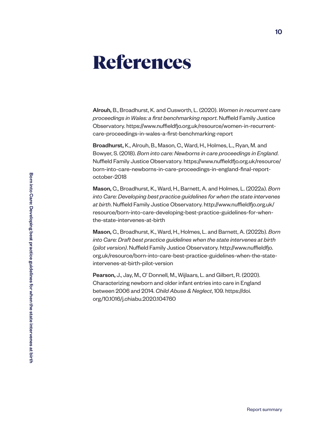## References

Alrouh, B., Broadhurst, K. and Cusworth, L. (2020). *Women in recurrent care proceedings in Wales: a first benchmarking report*. Nuffield Family Justice Observatory. https://www.nuffieldfjo.org.uk/resource/women-in-recurrentcare-proceedings-in-wales-a-first-benchmarking-report

Broadhurst, K., Alrouh, B., Mason, C., Ward, H., Holmes, L., Ryan, M. and Bowyer, S. (2018). *Born into care: Newborns in care proceedings in England*. Nuffield Family Justice Observatory. https://www.nuffieldfjo.org.uk/resource/ born-into-care-newborns-in-care-proceedings-in-england-final-reportoctober-2018

Mason, C., Broadhurst, K., Ward, H., Barnett, A. and Holmes, L. (2022a). *Born into Care: Developing best practice guidelines for when the state intervenes at birth*. Nuffield Family Justice Observatory. http://www.nuffieldfjo.org.uk/ resource/born-into-care-developing-best-practice-guidelines-for-whenthe-state-intervenes-at-birth

Mason, C., Broadhurst, K., Ward, H., Holmes, L. and Barnett, A. (2022b). *Born into Care: Draft best practice guidelines when the state intervenes at birth (pilot version)*. Nuffield Family Justice Observatory. http://www.nuffieldfjo. org.uk/resource/born-into-care-best-practice-guidelines-when-the-stateintervenes-at-birth-pilot-version

Pearson, J., Jay, M., O' Donnell, M., Wijlaars, L. and Gilbert, R. (2020). Characterizing newborn and older infant entries into care in England between 2006 and 2014. *Child Abuse & Neglect*, 109. https://doi. org/10.1016/j.chiabu.2020.104760